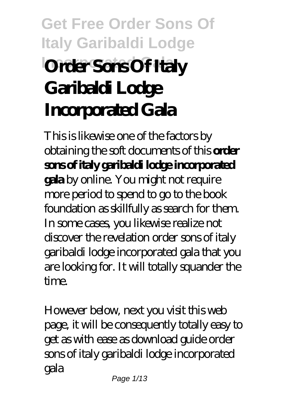# **Get Free Order Sons Of Italy Garibaldi Lodge Order Sons Of Italy Garibaldi Lodge Incorporated Gala**

This is likewise one of the factors by obtaining the soft documents of this **order sons of italy garibaldi lodge incorporated gala** by online. You might not require more period to spend to go to the book foundation as skillfully as search for them. In some cases, you likewise realize not discover the revelation order sons of italy garibaldi lodge incorporated gala that you are looking for. It will totally squander the time.

However below, next you visit this web page, it will be consequently totally easy to get as with ease as download guide order sons of italy garibaldi lodge incorporated gala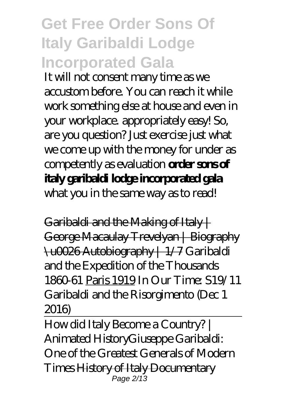## **Get Free Order Sons Of Italy Garibaldi Lodge Incorporated Gala**

It will not consent many time as we accustom before. You can reach it while work something else at house and even in your workplace. appropriately easy! So, are you question? Just exercise just what we come up with the money for under as competently as evaluation **order sons of italy garibaldi lodge incorporated gala**

what you in the same way as to read!

Garibaldi and the Making of Italy  $+$ George Macaulay Trevelyan | Biography \u0026 Autobiography | 1/7 Garibaldi and the Expedition of the Thousands 1860-61 Paris 1919 *In Our Time: S19/11 Garibaldi and the Risorgimento (Dec 1 2016)*

How did Italy Become a Country? | Animated History*Giuseppe Garibaldi: One of the Greatest Generals of Modern Times* History of Italy Documentary Page 2/13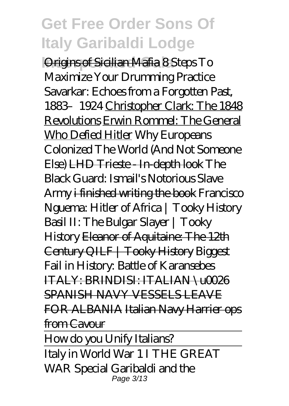**Incorporated Gala** Origins of Sicilian Mafia *8 Steps To Maximize Your Drumming Practice* Savarkar: Echoes from a Forgotten Past, 1883–1924 Christopher Clark: The 1848 Revolutions Erwin Rommel: The General Who Defied Hitler *Why Europeans Colonized The World (And Not Someone Else)* LHD Trieste - In-depth look *The Black Guard: Ismail's Notorious Slave Army* i finished writing the book *Francisco Nguema: Hitler of Africa | Tooky History Basil II: The Bulgar Slayer | Tooky History* Eleanor of Aquitaine: The 12th Century QILF | Tooky History *Biggest Fail in History: Battle of Karansebes* ITALY: BRINDISI: ITALIAN \u0026 SPANISH NAVY VESSELS LEAVE FOR ALBANIA Italian Navy Harrier ops from Cavour

How do you Unify Italians?

Italy in World War 1 I THE GREAT WAR Special Garibaldi and the Page 3/13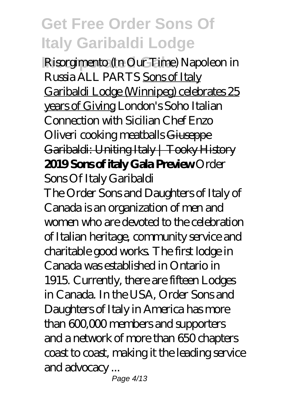**Incorporated Gala** Risorgimento (In Our Time) *Napoleon in Russia ALL PARTS* Sons of Italy Garibaldi Lodge (Winnipeg) celebrates 25 years of Giving *London's Soho Italian Connection with Sicilian Chef Enzo Oliveri cooking meatballs* Giuseppe Garibaldi: Uniting Italy | Tooky History **2019 Sons of italy Gala Preview** *Order Sons Of Italy Garibaldi*

The Order Sons and Daughters of Italy of Canada is an organization of men and women who are devoted to the celebration of Italian heritage, community service and charitable good works. The first lodge in Canada was established in Ontario in 1915. Currently, there are fifteen Lodges in Canada. In the USA, Order Sons and Daughters of Italy in America has more than 600,000 members and supporters and a network of more than 650 chapters coast to coast, making it the leading service and advocacy ...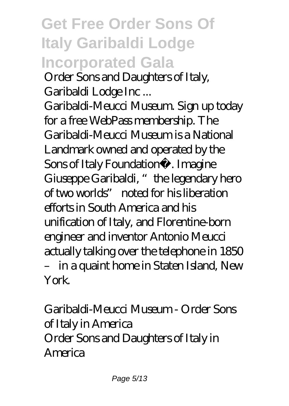## **Get Free Order Sons Of Italy Garibaldi Lodge Incorporated Gala**

*Order Sons and Daughters of Italy, Garibaldi Lodge Inc ...*

Garibaldi-Meucci Museum. Sign up today for a free WebPass membership. The Garibaldi-Meucci Museum is a National Landmark owned and operated by the Sons of Italy Foundation®. Imagine Giuseppe Garibaldi, "the legendary hero of two worlds" noted for his liberation efforts in South America and his unification of Italy, and Florentine-born engineer and inventor Antonio Meucci actually talking over the telephone in 1850 – in a quaint home in Staten Island, New York.

*Garibaldi-Meucci Museum - Order Sons of Italy in America* Order Sons and Daughters of Italy in America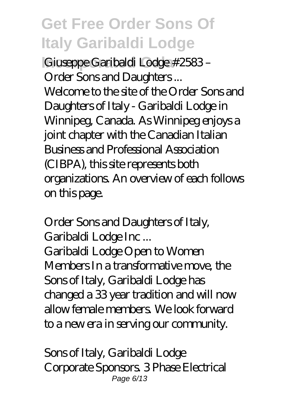**Incorporated Gala** *Giuseppe Garibaldi Lodge #2583 – Order Sons and Daughters ...*

Welcome to the site of the Order Sons and Daughters of Italy - Garibaldi Lodge in Winnipeg, Canada. As Winnipeg enjoys a joint chapter with the Canadian Italian Business and Professional Association (CIBPA), this site represents both organizations. An overview of each follows on this page.

#### *Order Sons and Daughters of Italy, Garibaldi Lodge Inc ...*

Garibaldi Lodge Open to Women Members In a transformative move, the Sons of Italy, Garibaldi Lodge has changed a 33 year tradition and will now allow female members. We look forward to a new era in serving our community.

*Sons of Italy, Garibaldi Lodge* Corporate Sponsors. 3 Phase Electrical Page 6/13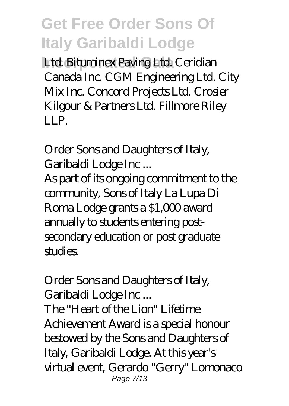**Ltd. Bituminex Paving Ltd. Ceridian** Canada Inc. CGM Engineering Ltd. City Mix Inc. Concord Projects Ltd. Crosier Kilgour & Partners Ltd. Fillmore Riley LLP.

*Order Sons and Daughters of Italy, Garibaldi Lodge Inc ...*

As part of its ongoing commitment to the community, Sons of Italy La Lupa Di Roma Lodge grants a \$1,000 award annually to students entering postsecondary education or post graduate studies.

#### *Order Sons and Daughters of Italy, Garibaldi Lodge Inc ...*

The "Heart of the Lion" Lifetime Achievement Award is a special honour bestowed by the Sons and Daughters of Italy, Garibaldi Lodge. At this year's virtual event, Gerardo "Gerry" Lomonaco Page 7/13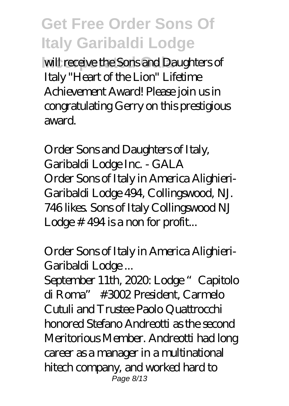will receive the Sons and Daughters of Italy "Heart of the Lion" Lifetime Achievement Award! Please join us in congratulating Gerry on this prestigious award.

*Order Sons and Daughters of Italy, Garibaldi Lodge Inc. - GALA* Order Sons of Italy in America Alighieri-Garibaldi Lodge 494, Collingswood, NJ. 746 likes. Sons of Italy Collingswood NJ Lodge # 494 is a non for profit...

*Order Sons of Italy in America Alighieri-Garibaldi Lodge ...*

September 11th, 2020. Lodge "Capitolo di Roma" #3002 President, Carmelo Cutuli and Trustee Paolo Quattrocchi honored Stefano Andreotti as the second Meritorious Member. Andreotti had long career as a manager in a multinational hitech company, and worked hard to Page 8/13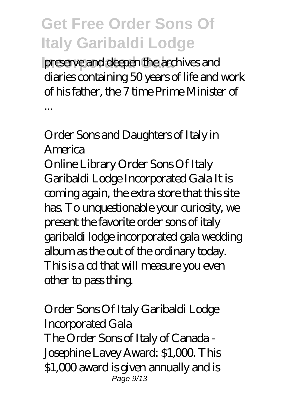**Incorporated Gala** preserve and deepen the archives and diaries containing 50 years of life and work of his father, the 7 time Prime Minister of

#### *Order Sons and Daughters of Italy in America*

...

Online Library Order Sons Of Italy Garibaldi Lodge Incorporated Gala It is coming again, the extra store that this site has. To unquestionable your curiosity, we present the favorite order sons of italy garibaldi lodge incorporated gala wedding album as the out of the ordinary today. This is a cd that will measure you even other to pass thing.

#### *Order Sons Of Italy Garibaldi Lodge Incorporated Gala* The Order Sons of Italy of Canada - Josephine Lavey Award: \$1,000. This \$1,000 award is given annually and is Page 9/13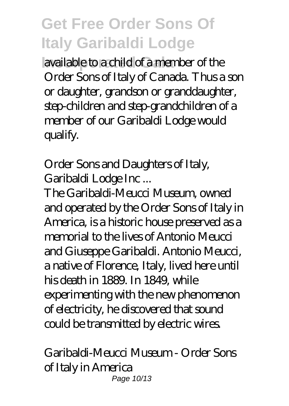**Incorporated Gala** available to a child of a member of the Order Sons of Italy of Canada. Thus a son or daughter, grandson or granddaughter, step-children and step-grandchildren of a member of our Garibaldi Lodge would qualify.

### *Order Sons and Daughters of Italy, Garibaldi Lodge Inc ...*

The Garibaldi-Meucci Museum, owned and operated by the Order Sons of Italy in America, is a historic house preserved as a memorial to the lives of Antonio Meucci and Giuseppe Garibaldi. Antonio Meucci, a native of Florence, Italy, lived here until his death in 1889. In 1849, while experimenting with the new phenomenon of electricity, he discovered that sound could be transmitted by electric wires.

#### *Garibaldi-Meucci Museum - Order Sons of Italy in America* Page 10/13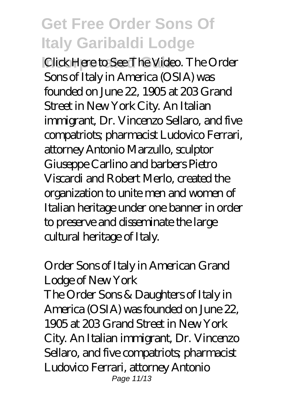**IClick Here to See The Video. The Order** Sons of Italy in America (OSIA) was founded on June 22, 1905 at 203 Grand Street in New York City. An Italian immigrant, Dr. Vincenzo Sellaro, and five compatriots; pharmacist Ludovico Ferrari, attorney Antonio Marzullo, sculptor Giuseppe Carlino and barbers Pietro Viscardi and Robert Merlo, created the organization to unite men and women of Italian heritage under one banner in order to preserve and disseminate the large cultural heritage of Italy.

### *Order Sons of Italy in American Grand Lodge of New York*

The Order Sons & Daughters of Italy in America (OSIA) was founded on June 22, 1905 at 203 Grand Street in New York City. An Italian immigrant, Dr. Vincenzo Sellaro, and five compatriots; pharmacist Ludovico Ferrari, attorney Antonio Page 11/13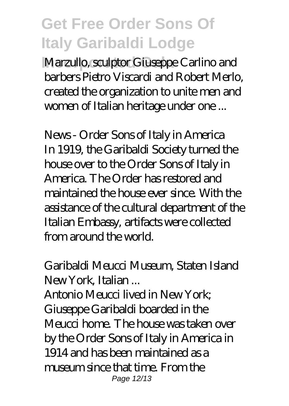**Marzullo, sculptor Giuseppe Carlino and** barbers Pietro Viscardi and Robert Merlo, created the organization to unite men and women of Italian heritage under one ...

*News - Order Sons of Italy in America* In 1919, the Garibaldi Society turned the house over to the Order Sons of Italy in America. The Order has restored and maintained the house ever since. With the assistance of the cultural department of the Italian Embassy, artifacts were collected from around the world.

#### *Garibaldi Meucci Museum, Staten Island New York, Italian ...*

Antonio Meucci lived in New York; Giuseppe Garibaldi boarded in the Meucci home. The house was taken over by the Order Sons of Italy in America in 1914 and has been maintained as a museum since that time. From the Page 12/13